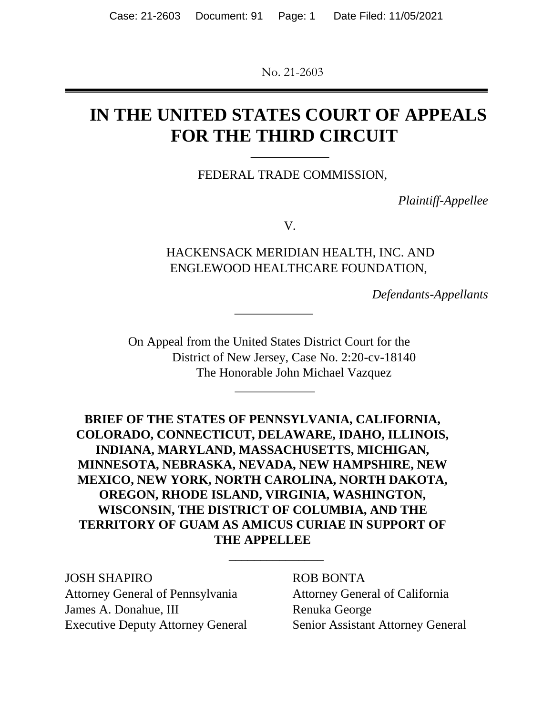No. 21-2603

# **IN THE UNITED STATES COURT OF APPEALS FOR THE THIRD CIRCUIT**

FEDERAL TRADE COMMISSION,

*Plaintiff-Appellee* 

V*.* 

HACKENSACK MERIDIAN HEALTH, INC. AND ENGLEWOOD HEALTHCARE FOUNDATION,

*Defendants-Appellants* 

On Appeal from the United States District Court for the District of New Jersey, Case No. 2:20-cv-18140 The Honorable John Michael Vazquez

**BRIEF OF THE STATES OF PENNSYLVANIA, CALIFORNIA, COLORADO, CONNECTICUT, DELAWARE, IDAHO, ILLINOIS, INDIANA, MARYLAND, MASSACHUSETTS, MICHIGAN, MINNESOTA, NEBRASKA, NEVADA, NEW HAMPSHIRE, NEW MEXICO, NEW YORK, NORTH CAROLINA, NORTH DAKOTA, OREGON, RHODE ISLAND, VIRGINIA, WASHINGTON, WISCONSIN, THE DISTRICT OF COLUMBIA, AND THE TERRITORY OF GUAM AS AMICUS CURIAE IN SUPPORT OF THE APPELLEE**

\_\_\_\_\_\_\_\_\_\_\_\_\_\_\_

JOSH SHAPIRO ROB BONTA Attorney General of Pennsylvania Attorney General of California James A. Donahue, III Renuka George Executive Deputy Attorney General Senior Assistant Attorney General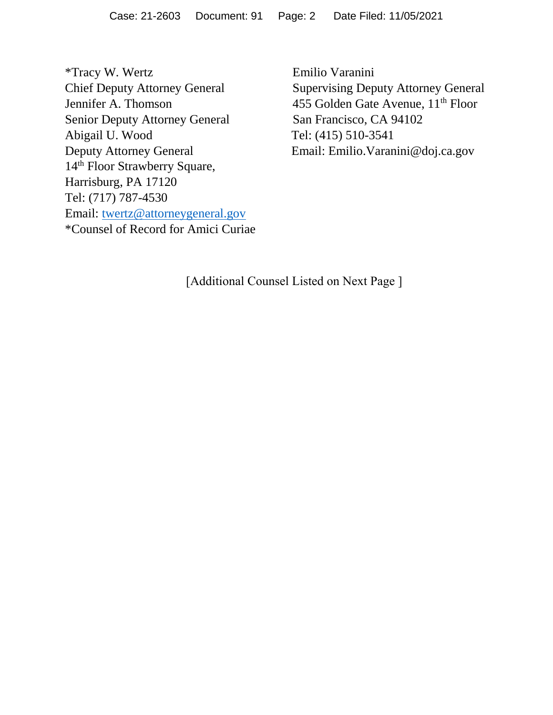\*Tracy W. Wertz Emilio Varanini Senior Deputy Attorney General San Francisco, CA 94102 Abigail U. Wood Tel: (415) 510-3541 Deputy Attorney General Email: Emilio.Varanini@doj.ca.gov 14<sup>th</sup> Floor Strawberry Square, Harrisburg, PA 17120 Tel: (717) 787-4530 Email: [twertz@attorneygeneral.gov](mailto:twertz@attorneygeneral.gov) \*Counsel of Record for Amici Curiae

Supervising Deputy Attorney General Jennifer A. Thomson 455 Golden Gate Avenue,  $11<sup>th</sup>$  Floor

[Additional Counsel Listed on Next Page ]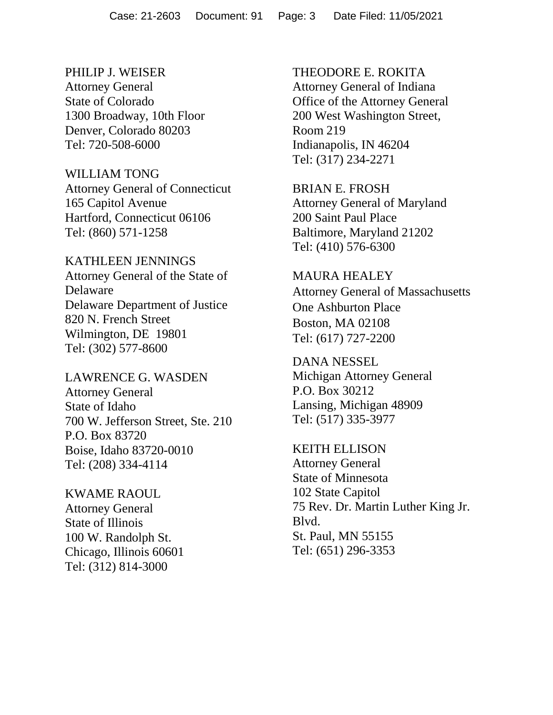PHILIP J. WEISER Attorney General State of Colorado 1300 Broadway, 10th Floor

Denver, Colorado 80203 Tel: 720-508-6000

WILLIAM TONG

Attorney General of Connecticut 165 Capitol Avenue Hartford, Connecticut 06106 Tel: (860) 571-1258

KATHLEEN JENNINGS Attorney General of the State of Delaware Delaware Department of Justice 820 N. French Street Wilmington, DE 19801 Tel: (302) 577-8600

LAWRENCE G. WASDEN Attorney General State of Idaho 700 W. Jefferson Street, Ste. 210 P.O. Box 83720 Boise, Idaho 83720-0010 Tel: (208) 334-4114

KWAME RAOUL Attorney General State of Illinois 100 W. Randolph St. Chicago, Illinois 60601 Tel: (312) 814-3000

THEODORE E. ROKITA Attorney General of Indiana Office of the Attorney General 200 West Washington Street, Room 219 Indianapolis, IN 46204 Tel: (317) 234-2271

BRIAN E. FROSH Attorney General of Maryland 200 Saint Paul Place Baltimore, Maryland 21202 Tel: (410) 576-6300

MAURA HEALEY Attorney General of Massachusetts One Ashburton Place Boston, MA 02108 Tel: (617) 727-2200

DANA NESSEL Michigan Attorney General P.O. Box 30212 Lansing, Michigan 48909 Tel: (517) 335-3977

KEITH ELLISON Attorney General State of Minnesota 102 State Capitol 75 Rev. Dr. Martin Luther King Jr. Blvd. St. Paul, MN 55155 Tel: (651) 296-3353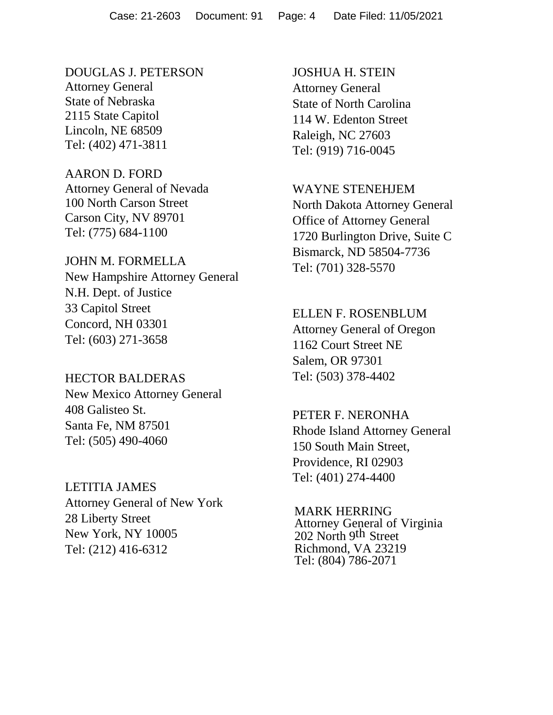DOUGLAS J. PETERSON Attorney General State of Nebraska 2115 State Capitol Lincoln, NE 68509 Tel: (402) 471-3811

### AARON D. FORD Attorney General of Nevada 100 North Carson Street Carson City, NV 89701 Tel: (775) 684-1100

#### JOHN M. FORMELLA

New Hampshire Attorney General N.H. Dept. of Justice 33 Capitol Street Concord, NH 03301 Tel: (603) 271-3658

### HECTOR BALDERAS

New Mexico Attorney General 408 Galisteo St. Santa Fe, NM 87501 Tel: (505) 490-4060

## LETITIA JAMES

Attorney General of New York 28 Liberty Street New York, NY 10005 Tel: (212) 416-6312

JOSHUA H. STEIN Attorney General State of North Carolina 114 W. Edenton Street Raleigh, NC 27603 Tel: (919) 716-0045

#### WAYNE STENEHJEM

North Dakota Attorney General Office of Attorney General 1720 Burlington Drive, Suite C Bismarck, ND 58504-7736 Tel: (701) 328-5570

#### ELLEN F. ROSENBLUM

Attorney General of Oregon 1162 Court Street NE Salem, OR 97301 Tel: (503) 378-4402

#### PETER F. NERONHA

Rhode Island Attorney General 150 South Main Street, Providence, RI 02903 Tel: (401) 274-4400

MARK HERRING Attorney General of Virginia 202 North 9th Street Richmond, VA 23219 Tel: (804) 786-2071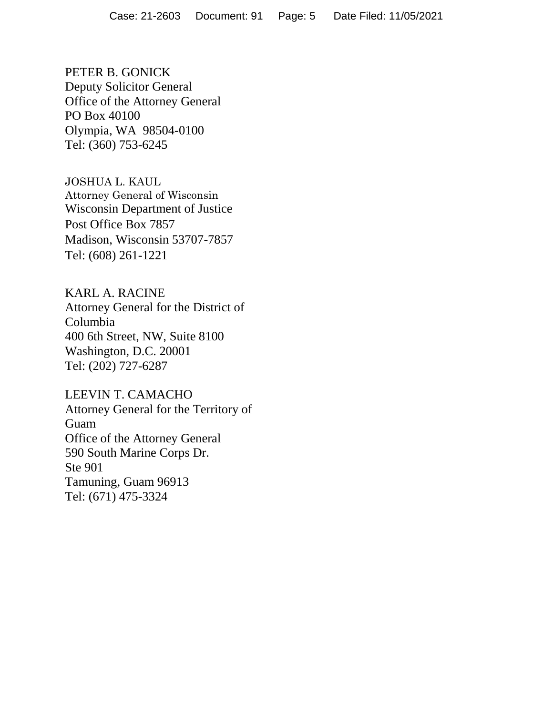PETER B. GONICK Deputy Solicitor General Office of the Attorney General PO Box 40100 Olympia, WA 98504-0100 Tel: (360) 753-6245

JOSHUA L. KAUL Attorney General of Wisconsin Wisconsin Department of Justice Post Office Box 7857 Madison, Wisconsin 53707-7857 Tel: (608) 261-1221

KARL A. RACINE Attorney General for the District of Columbia 400 6th Street, NW, Suite 8100 Washington, D.C. 20001 Tel: (202) 727-6287

LEEVIN T. CAMACHO Attorney General for the Territory of Guam Office of the Attorney General 590 South Marine Corps Dr. Ste 901 Tamuning, Guam 96913 Tel: (671) 475-3324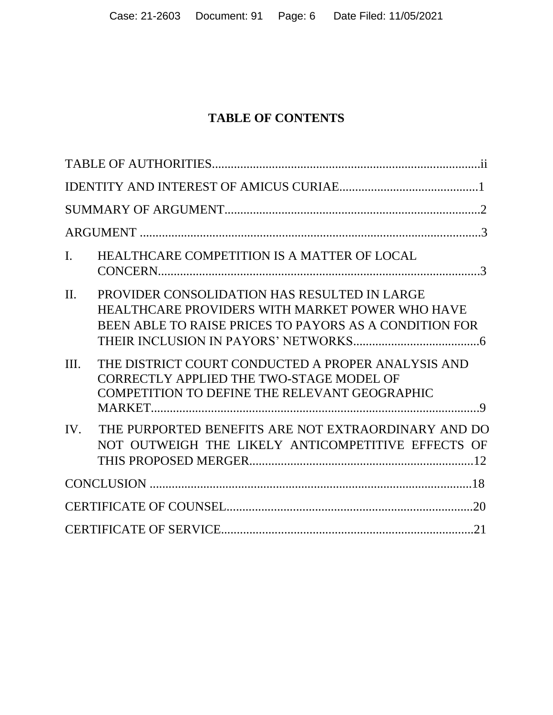## **TABLE OF CONTENTS**

| $\mathbf{I}$ . | HEALTHCARE COMPETITION IS A MATTER OF LOCAL                                                                                                               |       |
|----------------|-----------------------------------------------------------------------------------------------------------------------------------------------------------|-------|
| $\Pi$ .        | PROVIDER CONSOLIDATION HAS RESULTED IN LARGE<br>HEALTHCARE PROVIDERS WITH MARKET POWER WHO HAVE<br>BEEN ABLE TO RAISE PRICES TO PAYORS AS A CONDITION FOR |       |
| III.           | THE DISTRICT COURT CONDUCTED A PROPER ANALYSIS AND<br>CORRECTLY APPLIED THE TWO-STAGE MODEL OF<br>COMPETITION TO DEFINE THE RELEVANT GEOGRAPHIC           |       |
| IV.            | THE PURPORTED BENEFITS ARE NOT EXTRAORDINARY AND DO<br>NOT OUTWEIGH THE LIKELY ANTICOMPETITIVE EFFECTS OF                                                 |       |
|                |                                                                                                                                                           |       |
|                |                                                                                                                                                           | $-20$ |
|                |                                                                                                                                                           |       |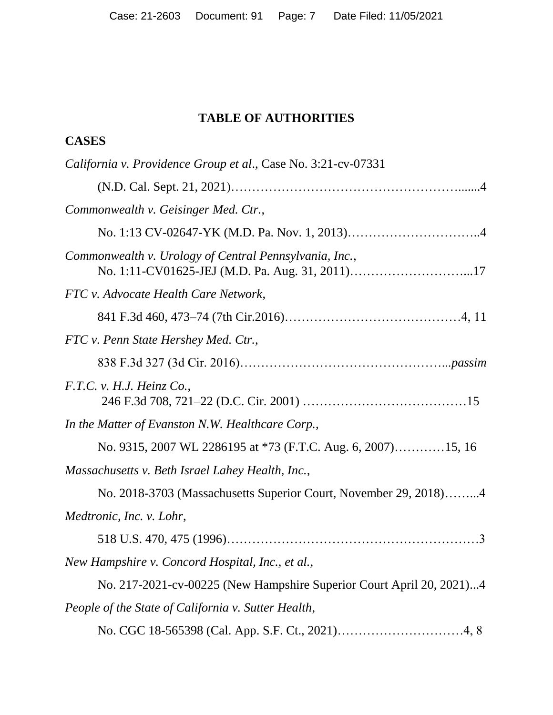## **TABLE OF AUTHORITIES**

| <b>CASES</b>                                                         |
|----------------------------------------------------------------------|
| California v. Providence Group et al., Case No. 3:21-cv-07331        |
|                                                                      |
| Commonwealth v. Geisinger Med. Ctr.,                                 |
|                                                                      |
| Commonwealth v. Urology of Central Pennsylvania, Inc.,               |
| FTC v. Advocate Health Care Network,                                 |
|                                                                      |
| FTC v. Penn State Hershey Med. Ctr.,                                 |
|                                                                      |
| F.T.C. v. H.J. Heinz Co.,                                            |
| In the Matter of Evanston N.W. Healthcare Corp.,                     |
| No. 9315, 2007 WL 2286195 at *73 (F.T.C. Aug. 6, 2007)15, 16         |
| Massachusetts v. Beth Israel Lahey Health, Inc.,                     |
| No. 2018-3703 (Massachusetts Superior Court, November 29, 2018)4     |
| Medtronic, Inc. v. Lohr,                                             |
| $\cdot$ .3                                                           |
| New Hampshire v. Concord Hospital, Inc., et al.,                     |
| No. 217-2021-cv-00225 (New Hampshire Superior Court April 20, 2021)4 |
| People of the State of California v. Sutter Health,                  |
|                                                                      |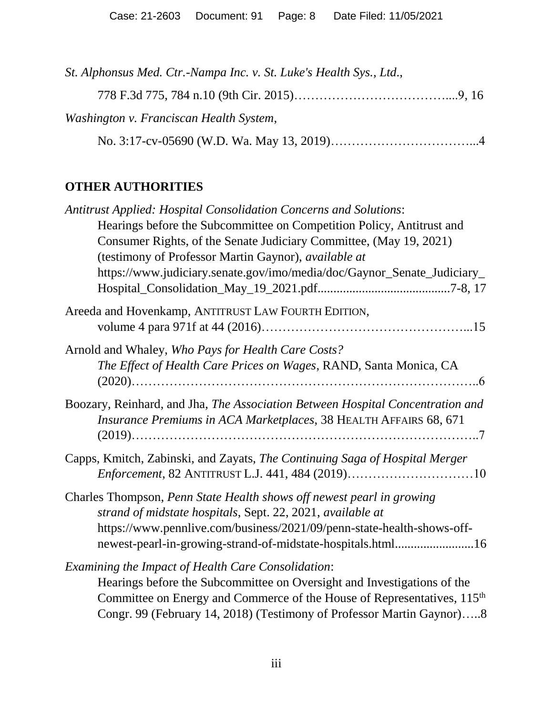| St. Alphonsus Med. Ctr.-Nampa Inc. v. St. Luke's Health Sys., Ltd., |  |
|---------------------------------------------------------------------|--|
|                                                                     |  |
| Washington v. Franciscan Health System,                             |  |
|                                                                     |  |

## **OTHER AUTHORITIES**

| <b>Antitrust Applied: Hospital Consolidation Concerns and Solutions:</b>                                                                            |
|-----------------------------------------------------------------------------------------------------------------------------------------------------|
| Hearings before the Subcommittee on Competition Policy, Antitrust and                                                                               |
| Consumer Rights, of the Senate Judiciary Committee, (May 19, 2021)                                                                                  |
| (testimony of Professor Martin Gaynor), available at                                                                                                |
| https://www.judiciary.senate.gov/imo/media/doc/Gaynor_Senate_Judiciary_                                                                             |
| Areeda and Hovenkamp, ANTITRUST LAW FOURTH EDITION,                                                                                                 |
|                                                                                                                                                     |
| Arnold and Whaley, Who Pays for Health Care Costs?                                                                                                  |
| The Effect of Health Care Prices on Wages, RAND, Santa Monica, CA                                                                                   |
| Boozary, Reinhard, and Jha, The Association Between Hospital Concentration and<br>Insurance Premiums in ACA Marketplaces, 38 HEALTH AFFAIRS 68, 671 |
| Capps, Kmitch, Zabinski, and Zayats, The Continuing Saga of Hospital Merger<br>Enforcement, 82 ANTITRUST L.J. 441, 484 (2019)10                     |
| Charles Thompson, Penn State Health shows off newest pearl in growing<br>strand of midstate hospitals, Sept. 22, 2021, available at                 |
| https://www.pennlive.com/business/2021/09/penn-state-health-shows-off-<br>newest-pearl-in-growing-strand-of-midstate-hospitals.html16               |
| Examining the Impact of Health Care Consolidation:                                                                                                  |
| Hearings before the Subcommittee on Oversight and Investigations of the                                                                             |
| Committee on Energy and Commerce of the House of Representatives, 115 <sup>th</sup>                                                                 |
| Congr. 99 (February 14, 2018) (Testimony of Professor Martin Gaynor)8                                                                               |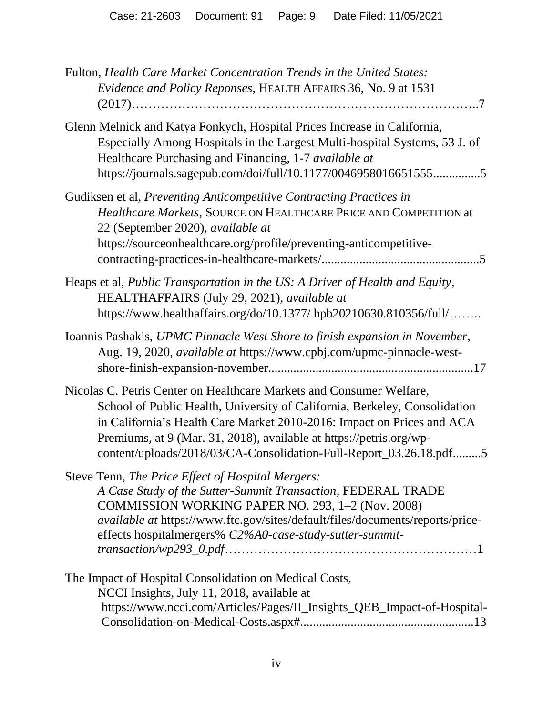| Fulton, Health Care Market Concentration Trends in the United States:<br>Evidence and Policy Reponses, HEALTH AFFAIRS 36, No. 9 at 1531                                                                                                                                                                                                                                   |
|---------------------------------------------------------------------------------------------------------------------------------------------------------------------------------------------------------------------------------------------------------------------------------------------------------------------------------------------------------------------------|
| Glenn Melnick and Katya Fonkych, Hospital Prices Increase in California,<br>Especially Among Hospitals in the Largest Multi-hospital Systems, 53 J. of<br>Healthcare Purchasing and Financing, 1-7 available at<br>https://journals.sagepub.com/doi/full/10.1177/00469580166515555                                                                                        |
| Gudiksen et al, Preventing Anticompetitive Contracting Practices in<br>Healthcare Markets, SOURCE ON HEALTHCARE PRICE AND COMPETITION at<br>22 (September 2020), available at<br>https://sourceonhealthcare.org/profile/preventing-anticompetitive-                                                                                                                       |
| Heaps et al, Public Transportation in the US: A Driver of Health and Equity,<br>HEALTHAFFAIRS (July 29, 2021), available at<br>https://www.healthaffairs.org/do/10.1377/ hpb20210630.810356/full/                                                                                                                                                                         |
| Ioannis Pashakis, UPMC Pinnacle West Shore to finish expansion in November,<br>Aug. 19, 2020, available at https://www.cpbj.com/upmc-pinnacle-west-                                                                                                                                                                                                                       |
| Nicolas C. Petris Center on Healthcare Markets and Consumer Welfare,<br>School of Public Health, University of California, Berkeley, Consolidation<br>in California's Health Care Market 2010-2016: Impact on Prices and ACA<br>Premiums, at 9 (Mar. 31, 2018), available at https://petris.org/wp-<br>content/uploads/2018/03/CA-Consolidation-Full-Report_03.26.18.pdf5 |
| Steve Tenn, The Price Effect of Hospital Mergers:<br>A Case Study of the Sutter-Summit Transaction, FEDERAL TRADE<br>COMMISSION WORKING PAPER NO. 293, 1-2 (Nov. 2008)<br><i>available at https://www.ftc.gov/sites/default/files/documents/reports/price-</i><br>effects hospitalmergers% C2%A0-case-study-sutter-summit-                                                |
| The Impact of Hospital Consolidation on Medical Costs,<br>NCCI Insights, July 11, 2018, available at<br>https://www.ncci.com/Articles/Pages/II_Insights_QEB_Impact-of-Hospital-                                                                                                                                                                                           |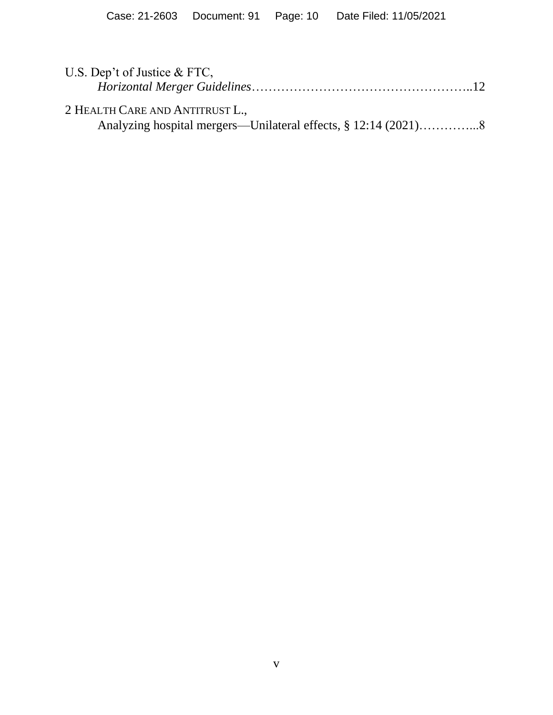| U.S. Dep't of Justice & FTC,    |  |
|---------------------------------|--|
|                                 |  |
| 2 HEALTH CARE AND ANTITRUST L., |  |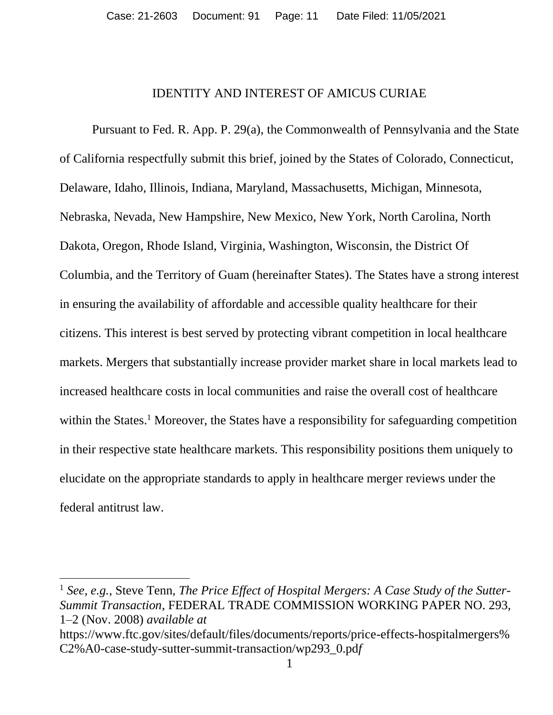#### IDENTITY AND INTEREST OF AMICUS CURIAE

Pursuant to Fed. R. App. P. 29(a), the Commonwealth of Pennsylvania and the State of California respectfully submit this brief, joined by the States of Colorado, Connecticut, Delaware, Idaho, Illinois, Indiana, Maryland, Massachusetts, Michigan, Minnesota, Nebraska, Nevada, New Hampshire, New Mexico, New York, North Carolina, North Dakota, Oregon, Rhode Island, Virginia, Washington, Wisconsin, the District Of Columbia, and the Territory of Guam (hereinafter States). The States have a strong interest in ensuring the availability of affordable and accessible quality healthcare for their citizens. This interest is best served by protecting vibrant competition in local healthcare markets. Mergers that substantially increase provider market share in local markets lead to increased healthcare costs in local communities and raise the overall cost of healthcare within the States.<sup>1</sup> Moreover, the States have a responsibility for safeguarding competition in their respective state healthcare markets. This responsibility positions them uniquely to elucidate on the appropriate standards to apply in healthcare merger reviews under the federal antitrust law.

<sup>&</sup>lt;sup>1</sup> See, e.g., Steve Tenn, *The Price Effect of Hospital Mergers: A Case Study of the Sutter-Summit Transaction*, FEDERAL TRADE COMMISSION WORKING PAPER NO. 293, 1–2 (Nov. 2008) *available at*

https://www.ftc.gov/sites/default/files/documents/reports/price-effects-hospitalmergers% C2%A0-case-study-sutter-summit-transaction/wp293\_0.pd*f*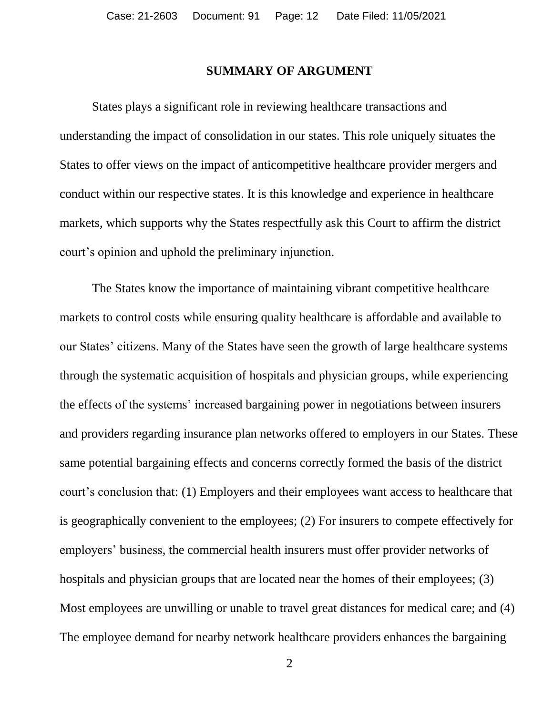### **SUMMARY OF ARGUMENT**

States plays a significant role in reviewing healthcare transactions and understanding the impact of consolidation in our states. This role uniquely situates the States to offer views on the impact of anticompetitive healthcare provider mergers and conduct within our respective states. It is this knowledge and experience in healthcare markets, which supports why the States respectfully ask this Court to affirm the district court's opinion and uphold the preliminary injunction.

The States know the importance of maintaining vibrant competitive healthcare markets to control costs while ensuring quality healthcare is affordable and available to our States' citizens. Many of the States have seen the growth of large healthcare systems through the systematic acquisition of hospitals and physician groups, while experiencing the effects of the systems' increased bargaining power in negotiations between insurers and providers regarding insurance plan networks offered to employers in our States. These same potential bargaining effects and concerns correctly formed the basis of the district court's conclusion that: (1) Employers and their employees want access to healthcare that is geographically convenient to the employees; (2) For insurers to compete effectively for employers' business, the commercial health insurers must offer provider networks of hospitals and physician groups that are located near the homes of their employees; (3) Most employees are unwilling or unable to travel great distances for medical care; and (4) The employee demand for nearby network healthcare providers enhances the bargaining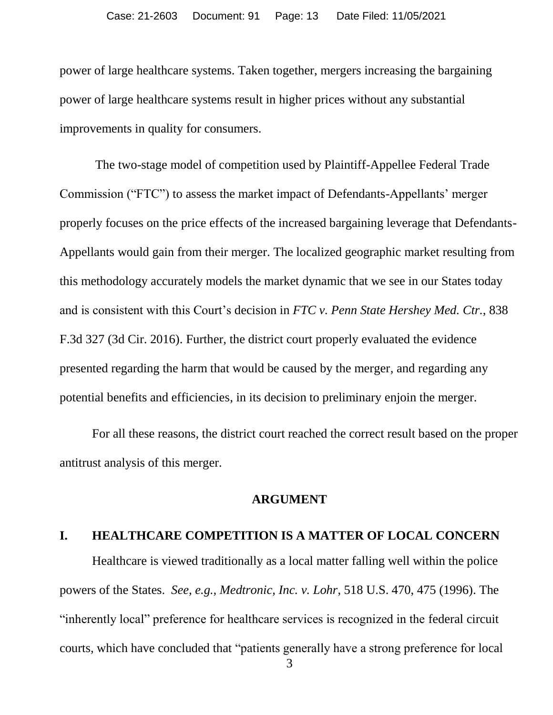power of large healthcare systems. Taken together, mergers increasing the bargaining power of large healthcare systems result in higher prices without any substantial improvements in quality for consumers.

The two-stage model of competition used by Plaintiff-Appellee Federal Trade Commission ("FTC") to assess the market impact of Defendants-Appellants' merger properly focuses on the price effects of the increased bargaining leverage that Defendants-Appellants would gain from their merger. The localized geographic market resulting from this methodology accurately models the market dynamic that we see in our States today and is consistent with this Court's decision in *FTC v. Penn State Hershey Med. Ctr.*, 838 F.3d 327 (3d Cir. 2016). Further, the district court properly evaluated the evidence presented regarding the harm that would be caused by the merger, and regarding any potential benefits and efficiencies, in its decision to preliminary enjoin the merger.

For all these reasons, the district court reached the correct result based on the proper antitrust analysis of this merger.

#### **ARGUMENT**

#### **I. HEALTHCARE COMPETITION IS A MATTER OF LOCAL CONCERN**

Healthcare is viewed traditionally as a local matter falling well within the police powers of the States. *See, e.g., Medtronic, Inc. v. Lohr*, 518 U.S. 470, 475 (1996). The "inherently local" preference for healthcare services is recognized in the federal circuit courts, which have concluded that "patients generally have a strong preference for local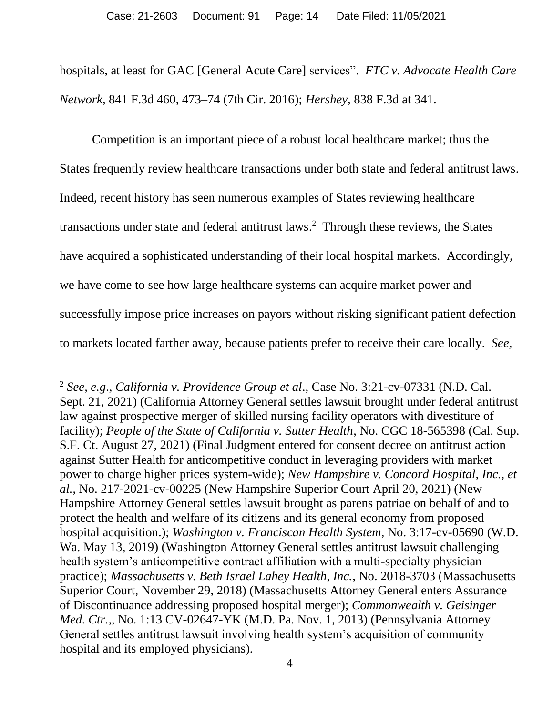hospitals, at least for GAC [General Acute Care] services". *FTC v. Advocate Health Care Network*, 841 F.3d 460, 473–74 (7th Cir. 2016); *Hershey,* 838 F.3d at 341.

Competition is an important piece of a robust local healthcare market; thus the States frequently review healthcare transactions under both state and federal antitrust laws. Indeed, recent history has seen numerous examples of States reviewing healthcare transactions under state and federal antitrust laws. 2 Through these reviews, the States have acquired a sophisticated understanding of their local hospital markets. Accordingly, we have come to see how large healthcare systems can acquire market power and successfully impose price increases on payors without risking significant patient defection to markets located farther away, because patients prefer to receive their care locally. *See,* 

 $\overline{a}$ 

<sup>2</sup> *See, e.g*., *California v. Providence Group et al*., Case No. 3:21-cv-07331 (N.D. Cal. Sept. 21, 2021) (California Attorney General settles lawsuit brought under federal antitrust law against prospective merger of skilled nursing facility operators with divestiture of facility); *People of the State of California v. Sutter Health*, No. CGC 18-565398 (Cal. Sup. S.F. Ct. August 27, 2021) (Final Judgment entered for consent decree on antitrust action against Sutter Health for anticompetitive conduct in leveraging providers with market power to charge higher prices system-wide); *New Hampshire v. Concord Hospital, Inc., et al.*, No. 217-2021-cv-00225 (New Hampshire Superior Court April 20, 2021) (New Hampshire Attorney General settles lawsuit brought as parens patriae on behalf of and to protect the health and welfare of its citizens and its general economy from proposed hospital acquisition.); *Washington v. Franciscan Health System*, No. 3:17-cv-05690 (W.D. Wa. May 13, 2019) (Washington Attorney General settles antitrust lawsuit challenging health system's anticompetitive contract affiliation with a multi-specialty physician practice); *Massachusetts v. Beth Israel Lahey Health, Inc.*, No. 2018-3703 (Massachusetts Superior Court, November 29, 2018) (Massachusetts Attorney General enters Assurance of Discontinuance addressing proposed hospital merger); *Commonwealth v. Geisinger Med. Ctr.,*, No. 1:13 CV-02647-YK (M.D. Pa. Nov. 1, 2013) (Pennsylvania Attorney General settles antitrust lawsuit involving health system's acquisition of community hospital and its employed physicians).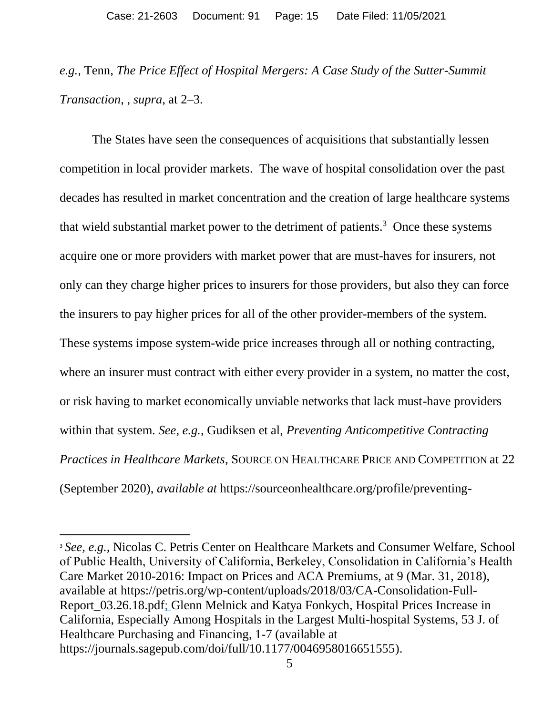*e.g.,* Tenn, *The Price Effect of Hospital Mergers: A Case Study of the Sutter-Summit Transaction*, , *supra*, at 2–3.

The States have seen the consequences of acquisitions that substantially lessen competition in local provider markets. The wave of hospital consolidation over the past decades has resulted in market concentration and the creation of large healthcare systems that wield substantial market power to the detriment of patients.<sup>3</sup> Once these systems acquire one or more providers with market power that are must-haves for insurers, not only can they charge higher prices to insurers for those providers, but also they can force the insurers to pay higher prices for all of the other provider-members of the system. These systems impose system-wide price increases through all or nothing contracting, where an insurer must contract with either every provider in a system, no matter the cost, or risk having to market economically unviable networks that lack must-have providers within that system. *See, e.g.,* Gudiksen et al, *Preventing Anticompetitive Contracting Practices in Healthcare Markets*, SOURCE ON HEALTHCARE PRICE AND COMPETITION at 22 (September 2020), *available at* https://sourceonhealthcare.org/profile/preventing-

<sup>3</sup> *See, e.g.,* Nicolas C. Petris Center on Healthcare Markets and Consumer Welfare, School of Public Health, University of California, Berkeley, Consolidation in California's Health Care Market 2010-2016: Impact on Prices and ACA Premiums, at 9 (Mar. 31, 2018), available at https://petris.org/wp-content/uploads/2018/03/CA-Consolidation-Full-Report\_03.26.18.pdf; Glenn Melnick and Katya Fonkych, Hospital Prices Increase in California, Especially Among Hospitals in the Largest Multi-hospital Systems, 53 J. of Healthcare Purchasing and Financing, 1-7 (available at https://journals.sagepub.com/doi/full/10.1177/0046958016651555).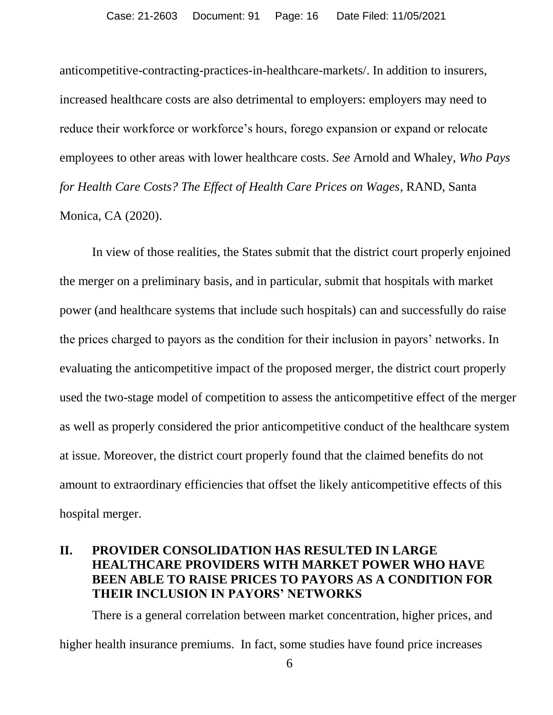anticompetitive-contracting-practices-in-healthcare-markets/. In addition to insurers, increased healthcare costs are also detrimental to employers: employers may need to reduce their workforce or workforce's hours, forego expansion or expand or relocate employees to other areas with lower healthcare costs. *See* Arnold and Whaley, *Who Pays for Health Care Costs? The Effect of Health Care Prices on Wages*, RAND, Santa Monica, CA (2020).

In view of those realities, the States submit that the district court properly enjoined the merger on a preliminary basis, and in particular, submit that hospitals with market power (and healthcare systems that include such hospitals) can and successfully do raise the prices charged to payors as the condition for their inclusion in payors' networks. In evaluating the anticompetitive impact of the proposed merger, the district court properly used the two-stage model of competition to assess the anticompetitive effect of the merger as well as properly considered the prior anticompetitive conduct of the healthcare system at issue. Moreover, the district court properly found that the claimed benefits do not amount to extraordinary efficiencies that offset the likely anticompetitive effects of this hospital merger.

### **II. PROVIDER CONSOLIDATION HAS RESULTED IN LARGE HEALTHCARE PROVIDERS WITH MARKET POWER WHO HAVE BEEN ABLE TO RAISE PRICES TO PAYORS AS A CONDITION FOR THEIR INCLUSION IN PAYORS' NETWORKS**

There is a general correlation between market concentration, higher prices, and higher health insurance premiums. In fact, some studies have found price increases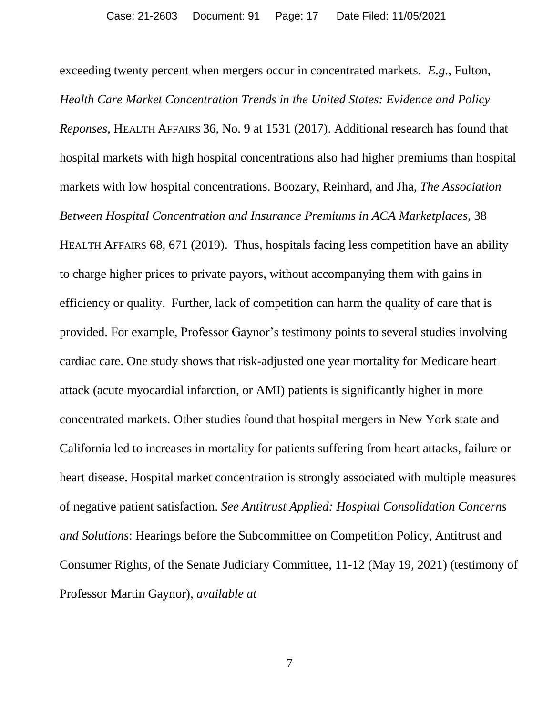exceeding twenty percent when mergers occur in concentrated markets. *E.g.,* Fulton, *Health Care Market Concentration Trends in the United States: Evidence and Policy Reponses*, HEALTH AFFAIRS 36, No. 9 at 1531 (2017). Additional research has found that hospital markets with high hospital concentrations also had higher premiums than hospital markets with low hospital concentrations. Boozary, Reinhard, and Jha, *The Association Between Hospital Concentration and Insurance Premiums in ACA Marketplaces*, 38 HEALTH AFFAIRS 68, 671 (2019). Thus, hospitals facing less competition have an ability to charge higher prices to private payors, without accompanying them with gains in efficiency or quality. Further, lack of competition can harm the quality of care that is provided. For example, Professor Gaynor's testimony points to several studies involving cardiac care. One study shows that risk-adjusted one year mortality for Medicare heart attack (acute myocardial infarction, or AMI) patients is significantly higher in more concentrated markets. Other studies found that hospital mergers in New York state and California led to increases in mortality for patients suffering from heart attacks, failure or heart disease. Hospital market concentration is strongly associated with multiple measures of negative patient satisfaction. *See Antitrust Applied: Hospital Consolidation Concerns and Solutions*: Hearings before the Subcommittee on Competition Policy, Antitrust and Consumer Rights, of the Senate Judiciary Committee, 11-12 (May 19, 2021) (testimony of Professor Martin Gaynor), *available at*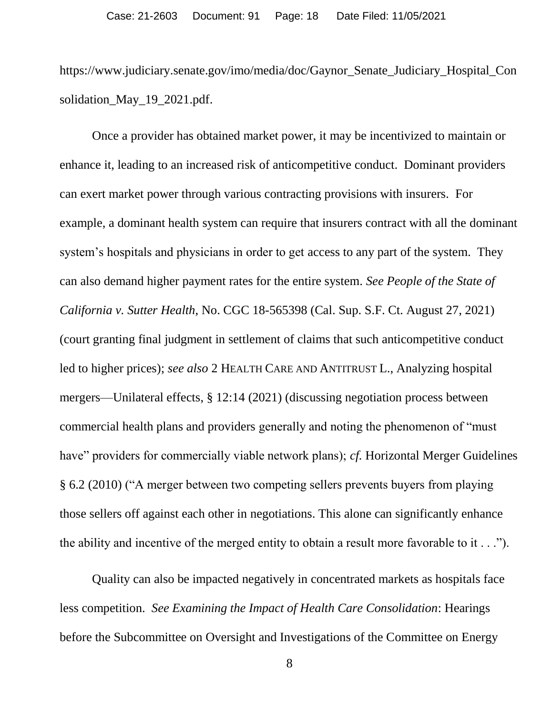https://www.judiciary.senate.gov/imo/media/doc/Gaynor\_Senate\_Judiciary\_Hospital\_Con solidation\_May\_19\_2021.pdf.

Once a provider has obtained market power, it may be incentivized to maintain or enhance it, leading to an increased risk of anticompetitive conduct. Dominant providers can exert market power through various contracting provisions with insurers. For example, a dominant health system can require that insurers contract with all the dominant system's hospitals and physicians in order to get access to any part of the system. They can also demand higher payment rates for the entire system. *See People of the State of California v. Sutter Health*, No. CGC 18-565398 (Cal. Sup. S.F. Ct. August 27, 2021) (court granting final judgment in settlement of claims that such anticompetitive conduct led to higher prices); *see also* 2 HEALTH CARE AND ANTITRUST L., Analyzing hospital mergers—Unilateral effects, § 12:14 (2021) (discussing negotiation process between commercial health plans and providers generally and noting the phenomenon of "must have" providers for commercially viable network plans); *cf.* Horizontal Merger Guidelines § 6.2 (2010) ("A merger between two competing sellers prevents buyers from playing those sellers off against each other in negotiations. This alone can significantly enhance the ability and incentive of the merged entity to obtain a result more favorable to it . . .").

Quality can also be impacted negatively in concentrated markets as hospitals face less competition. *See Examining the Impact of Health Care Consolidation*: Hearings before the Subcommittee on Oversight and Investigations of the Committee on Energy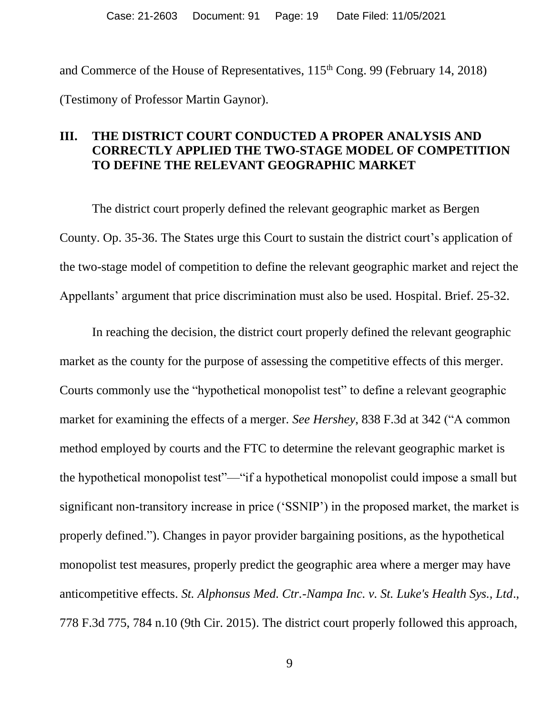and Commerce of the House of Representatives,  $115<sup>th</sup>$  Cong. 99 (February 14, 2018) (Testimony of Professor Martin Gaynor).

### **III. THE DISTRICT COURT CONDUCTED A PROPER ANALYSIS AND CORRECTLY APPLIED THE TWO-STAGE MODEL OF COMPETITION TO DEFINE THE RELEVANT GEOGRAPHIC MARKET**

The district court properly defined the relevant geographic market as Bergen County. Op. 35-36. The States urge this Court to sustain the district court's application of the two-stage model of competition to define the relevant geographic market and reject the Appellants' argument that price discrimination must also be used. Hospital. Brief. 25-32.

In reaching the decision, the district court properly defined the relevant geographic market as the county for the purpose of assessing the competitive effects of this merger. Courts commonly use the "hypothetical monopolist test" to define a relevant geographic market for examining the effects of a merger. *See Hershey*, 838 F.3d at 342 ("A common method employed by courts and the FTC to determine the relevant geographic market is the hypothetical monopolist test"—"if a hypothetical monopolist could impose a small but significant non-transitory increase in price ('SSNIP') in the proposed market, the market is properly defined."). Changes in payor provider bargaining positions, as the hypothetical monopolist test measures, properly predict the geographic area where a merger may have anticompetitive effects. *St. Alphonsus Med. Ctr.-Nampa Inc. v. St. Luke's Health Sys., Ltd*., 778 F.3d 775, 784 n.10 (9th Cir. 2015). The district court properly followed this approach,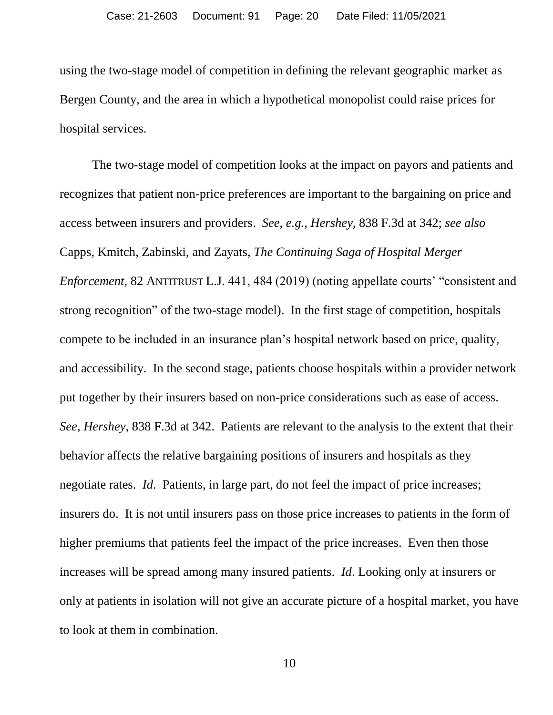using the two-stage model of competition in defining the relevant geographic market as Bergen County, and the area in which a hypothetical monopolist could raise prices for hospital services.

The two-stage model of competition looks at the impact on payors and patients and recognizes that patient non-price preferences are important to the bargaining on price and access between insurers and providers. *See*, *e.g., Hershey*, 838 F.3d at 342; *see also* Capps, Kmitch, Zabinski, and Zayats, *The Continuing Saga of Hospital Merger Enforcement*, 82 ANTITRUST L.J. 441, 484 (2019) (noting appellate courts' "consistent and strong recognition" of the two-stage model). In the first stage of competition, hospitals compete to be included in an insurance plan's hospital network based on price, quality, and accessibility. In the second stage, patients choose hospitals within a provider network put together by their insurers based on non-price considerations such as ease of access. *See, Hershey*, 838 F.3d at 342. Patients are relevant to the analysis to the extent that their behavior affects the relative bargaining positions of insurers and hospitals as they negotiate rates. *Id*. Patients, in large part, do not feel the impact of price increases; insurers do. It is not until insurers pass on those price increases to patients in the form of higher premiums that patients feel the impact of the price increases. Even then those increases will be spread among many insured patients. *Id*. Looking only at insurers or only at patients in isolation will not give an accurate picture of a hospital market, you have to look at them in combination.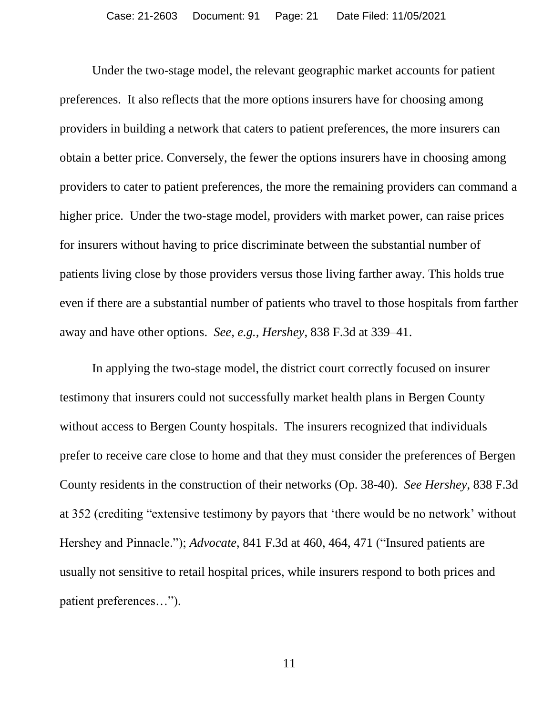Under the two-stage model, the relevant geographic market accounts for patient preferences. It also reflects that the more options insurers have for choosing among providers in building a network that caters to patient preferences, the more insurers can obtain a better price. Conversely, the fewer the options insurers have in choosing among providers to cater to patient preferences, the more the remaining providers can command a higher price. Under the two-stage model, providers with market power, can raise prices for insurers without having to price discriminate between the substantial number of patients living close by those providers versus those living farther away. This holds true even if there are a substantial number of patients who travel to those hospitals from farther away and have other options. *See, e.g., Hershey*, 838 F.3d at 339–41.

In applying the two-stage model, the district court correctly focused on insurer testimony that insurers could not successfully market health plans in Bergen County without access to Bergen County hospitals. The insurers recognized that individuals prefer to receive care close to home and that they must consider the preferences of Bergen County residents in the construction of their networks (Op. 38-40). *See Hershey*, 838 F.3d at 352 (crediting "extensive testimony by payors that 'there would be no network' without Hershey and Pinnacle."); *Advocate*, 841 F.3d at 460, 464, 471 ("Insured patients are usually not sensitive to retail hospital prices, while insurers respond to both prices and patient preferences…").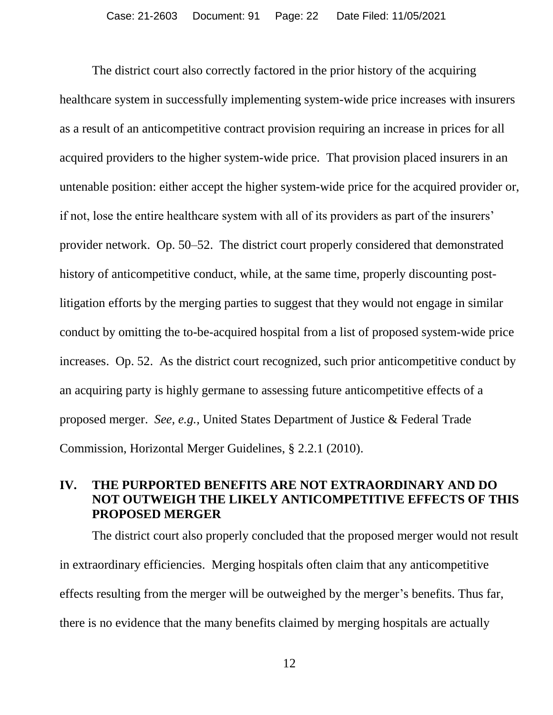The district court also correctly factored in the prior history of the acquiring healthcare system in successfully implementing system-wide price increases with insurers as a result of an anticompetitive contract provision requiring an increase in prices for all acquired providers to the higher system-wide price. That provision placed insurers in an untenable position: either accept the higher system-wide price for the acquired provider or, if not, lose the entire healthcare system with all of its providers as part of the insurers' provider network. Op. 50–52. The district court properly considered that demonstrated history of anticompetitive conduct, while, at the same time, properly discounting postlitigation efforts by the merging parties to suggest that they would not engage in similar conduct by omitting the to-be-acquired hospital from a list of proposed system-wide price increases. Op. 52. As the district court recognized, such prior anticompetitive conduct by an acquiring party is highly germane to assessing future anticompetitive effects of a proposed merger. *See, e.g.,* United States Department of Justice & Federal Trade Commission, Horizontal Merger Guidelines, § 2.2.1 (2010).

### **IV. THE PURPORTED BENEFITS ARE NOT EXTRAORDINARY AND DO NOT OUTWEIGH THE LIKELY ANTICOMPETITIVE EFFECTS OF THIS PROPOSED MERGER**

The district court also properly concluded that the proposed merger would not result in extraordinary efficiencies. Merging hospitals often claim that any anticompetitive effects resulting from the merger will be outweighed by the merger's benefits. Thus far, there is no evidence that the many benefits claimed by merging hospitals are actually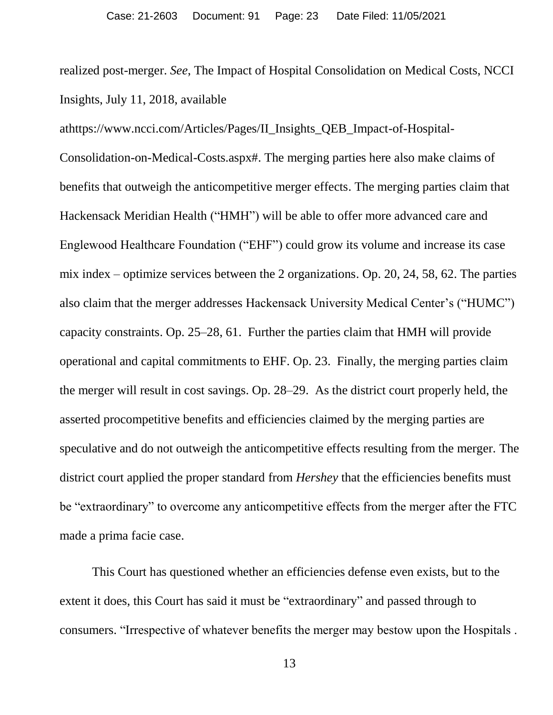realized post-merger. *See*, The Impact of Hospital Consolidation on Medical Costs, NCCI Insights, July 11, 2018, available

athttps://www.ncci.com/Articles/Pages/II\_Insights\_QEB\_Impact-of-Hospital-Consolidation-on-Medical-Costs.aspx#. The merging parties here also make claims of benefits that outweigh the anticompetitive merger effects. The merging parties claim that Hackensack Meridian Health ("HMH") will be able to offer more advanced care and Englewood Healthcare Foundation ("EHF") could grow its volume and increase its case mix index – optimize services between the 2 organizations. Op. 20, 24, 58, 62. The parties also claim that the merger addresses Hackensack University Medical Center's ("HUMC") capacity constraints. Op. 25–28, 61. Further the parties claim that HMH will provide operational and capital commitments to EHF. Op. 23. Finally, the merging parties claim the merger will result in cost savings. Op. 28–29. As the district court properly held, the asserted procompetitive benefits and efficiencies claimed by the merging parties are speculative and do not outweigh the anticompetitive effects resulting from the merger. The district court applied the proper standard from *Hershey* that the efficiencies benefits must be "extraordinary" to overcome any anticompetitive effects from the merger after the FTC made a prima facie case.

This Court has questioned whether an efficiencies defense even exists, but to the extent it does, this Court has said it must be "extraordinary" and passed through to consumers. "Irrespective of whatever benefits the merger may bestow upon the Hospitals .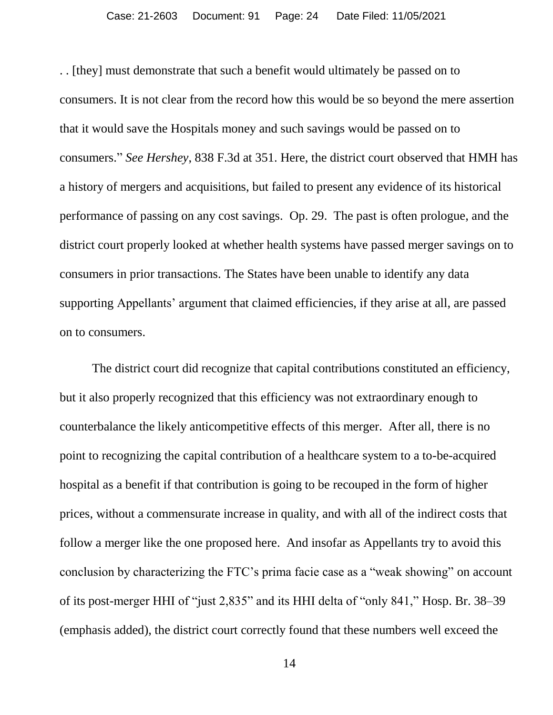. . [they] must demonstrate that such a benefit would ultimately be passed on to consumers. It is not clear from the record how this would be so beyond the mere assertion that it would save the Hospitals money and such savings would be passed on to consumers." *See Hershey*, 838 F.3d at 351. Here, the district court observed that HMH has a history of mergers and acquisitions, but failed to present any evidence of its historical performance of passing on any cost savings. Op. 29. The past is often prologue, and the district court properly looked at whether health systems have passed merger savings on to consumers in prior transactions. The States have been unable to identify any data supporting Appellants' argument that claimed efficiencies, if they arise at all, are passed on to consumers.

The district court did recognize that capital contributions constituted an efficiency, but it also properly recognized that this efficiency was not extraordinary enough to counterbalance the likely anticompetitive effects of this merger. After all, there is no point to recognizing the capital contribution of a healthcare system to a to-be-acquired hospital as a benefit if that contribution is going to be recouped in the form of higher prices, without a commensurate increase in quality, and with all of the indirect costs that follow a merger like the one proposed here. And insofar as Appellants try to avoid this conclusion by characterizing the FTC's prima facie case as a "weak showing" on account of its post-merger HHI of "just 2,835" and its HHI delta of "only 841," Hosp. Br. 38–39 (emphasis added), the district court correctly found that these numbers well exceed the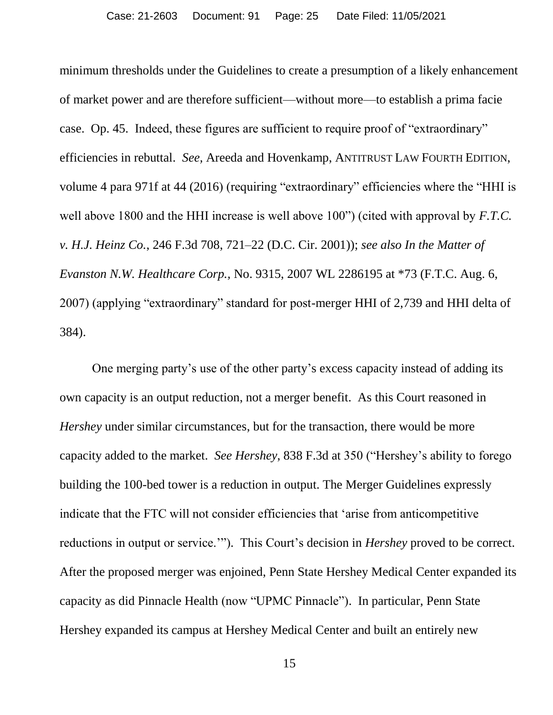minimum thresholds under the Guidelines to create a presumption of a likely enhancement of market power and are therefore sufficient—without more—to establish a prima facie case. Op. 45. Indeed, these figures are sufficient to require proof of "extraordinary" efficiencies in rebuttal. *See,* Areeda and Hovenkamp, ANTITRUST LAW FOURTH EDITION, volume 4 para 971f at 44 (2016) (requiring "extraordinary" efficiencies where the "HHI is well above 1800 and the HHI increase is well above 100") (cited with approval by *F.T.C. v. H.J. Heinz Co.*, 246 F.3d 708, 721–22 (D.C. Cir. 2001)); *see also In the Matter of Evanston N.W. Healthcare Corp.,* No. 9315, 2007 WL 2286195 at \*73 (F.T.C. Aug. 6, 2007) (applying "extraordinary" standard for post-merger HHI of 2,739 and HHI delta of 384).

One merging party's use of the other party's excess capacity instead of adding its own capacity is an output reduction, not a merger benefit. As this Court reasoned in *Hershey* under similar circumstances, but for the transaction, there would be more capacity added to the market. *See Hershey*, 838 F.3d at 350 ("Hershey's ability to forego building the 100-bed tower is a reduction in output. The Merger Guidelines expressly indicate that the FTC will not consider efficiencies that 'arise from anticompetitive reductions in output or service.'"). This Court's decision in *Hershey* proved to be correct. After the proposed merger was enjoined, Penn State Hershey Medical Center expanded its capacity as did Pinnacle Health (now "UPMC Pinnacle"). In particular, Penn State Hershey expanded its campus at Hershey Medical Center and built an entirely new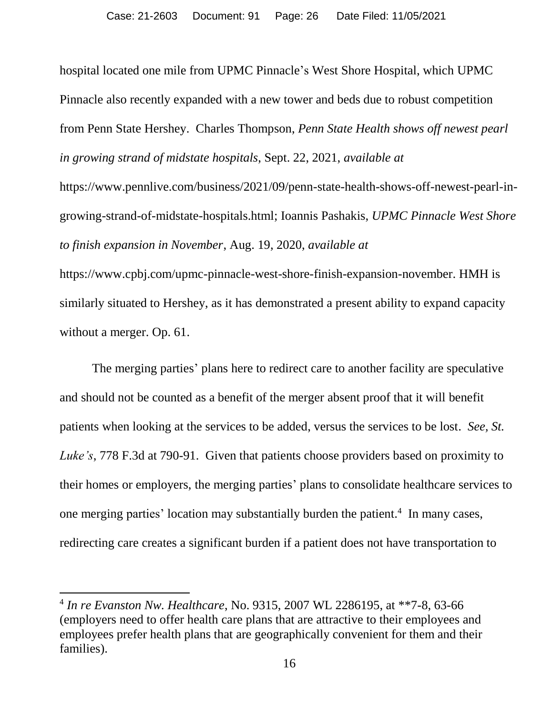hospital located one mile from UPMC Pinnacle's West Shore Hospital, which UPMC Pinnacle also recently expanded with a new tower and beds due to robust competition from Penn State Hershey. Charles Thompson, *Penn State Health shows off newest pearl in growing strand of midstate hospitals*, Sept. 22, 2021, *available at* https://www.pennlive.com/business/2021/09/penn-state-health-shows-off-newest-pearl-ingrowing-strand-of-midstate-hospitals.html; Ioannis Pashakis, *UPMC Pinnacle West Shore* 

*to finish expansion in November*, Aug. 19, 2020, *available at*

https://www.cpbj.com/upmc-pinnacle-west-shore-finish-expansion-november. HMH is similarly situated to Hershey, as it has demonstrated a present ability to expand capacity without a merger. Op. 61.

The merging parties' plans here to redirect care to another facility are speculative and should not be counted as a benefit of the merger absent proof that it will benefit patients when looking at the services to be added, versus the services to be lost. *See, St. Luke's*, 778 F.3d at 790-91. Given that patients choose providers based on proximity to their homes or employers, the merging parties' plans to consolidate healthcare services to one merging parties' location may substantially burden the patient.<sup>4</sup> In many cases, redirecting care creates a significant burden if a patient does not have transportation to

 $\overline{a}$ 

<sup>4</sup> *In re Evanston Nw. Healthcare*, No. 9315, 2007 WL 2286195, at \*\*7-8, 63-66 (employers need to offer health care plans that are attractive to their employees and employees prefer health plans that are geographically convenient for them and their families).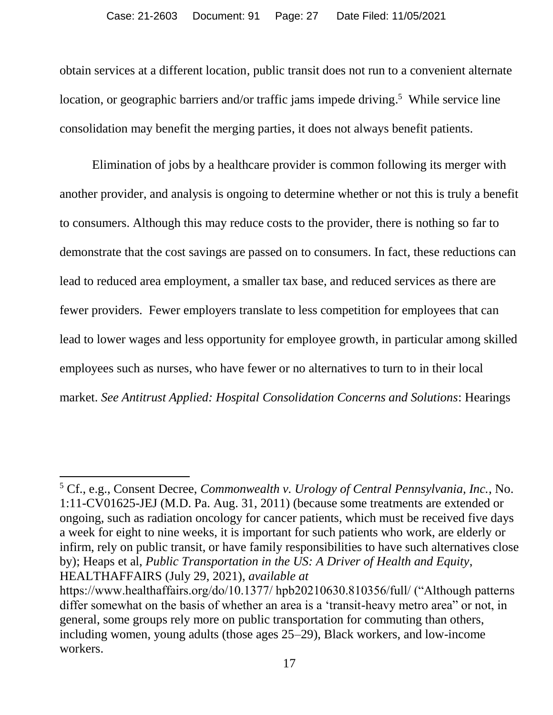obtain services at a different location, public transit does not run to a convenient alternate location, or geographic barriers and/or traffic jams impede driving.<sup>5</sup> While service line consolidation may benefit the merging parties, it does not always benefit patients.

Elimination of jobs by a healthcare provider is common following its merger with another provider, and analysis is ongoing to determine whether or not this is truly a benefit to consumers. Although this may reduce costs to the provider, there is nothing so far to demonstrate that the cost savings are passed on to consumers. In fact, these reductions can lead to reduced area employment, a smaller tax base, and reduced services as there are fewer providers. Fewer employers translate to less competition for employees that can lead to lower wages and less opportunity for employee growth, in particular among skilled employees such as nurses, who have fewer or no alternatives to turn to in their local market. *See Antitrust Applied: Hospital Consolidation Concerns and Solutions*: Hearings

 $\overline{\phantom{a}}$ 

<sup>5</sup> Cf., e.g., Consent Decree, *Commonwealth v. Urology of Central Pennsylvania, Inc.*, No. 1:11-CV01625-JEJ (M.D. Pa. Aug. 31, 2011) (because some treatments are extended or ongoing, such as radiation oncology for cancer patients, which must be received five days a week for eight to nine weeks, it is important for such patients who work, are elderly or infirm, rely on public transit, or have family responsibilities to have such alternatives close by); Heaps et al, *Public Transportation in the US: A Driver of Health and Equity*, HEALTHAFFAIRS (July 29, 2021), *available at*

https://www.healthaffairs.org/do/10.1377/ hpb20210630.810356/full/ ("Although patterns differ somewhat on the basis of whether an area is a 'transit-heavy metro area" or not, in general, some groups rely more on public transportation for commuting than others, including women, young adults (those ages 25–29), Black workers, and low-income workers.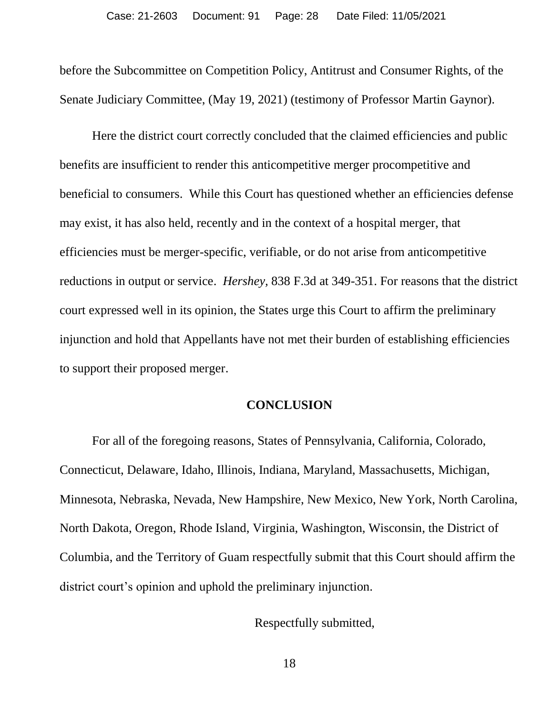before the Subcommittee on Competition Policy, Antitrust and Consumer Rights, of the Senate Judiciary Committee, (May 19, 2021) (testimony of Professor Martin Gaynor).

Here the district court correctly concluded that the claimed efficiencies and public benefits are insufficient to render this anticompetitive merger procompetitive and beneficial to consumers. While this Court has questioned whether an efficiencies defense may exist, it has also held, recently and in the context of a hospital merger, that efficiencies must be merger-specific, verifiable, or do not arise from anticompetitive reductions in output or service. *Hershey,* 838 F.3d at 349-351. For reasons that the district court expressed well in its opinion, the States urge this Court to affirm the preliminary injunction and hold that Appellants have not met their burden of establishing efficiencies to support their proposed merger.

#### **CONCLUSION**

For all of the foregoing reasons, States of Pennsylvania, California, Colorado, Connecticut, Delaware, Idaho, Illinois, Indiana, Maryland, Massachusetts, Michigan, Minnesota, Nebraska, Nevada, New Hampshire, New Mexico, New York, North Carolina, North Dakota, Oregon, Rhode Island, Virginia, Washington, Wisconsin, the District of Columbia, and the Territory of Guam respectfully submit that this Court should affirm the district court's opinion and uphold the preliminary injunction.

Respectfully submitted,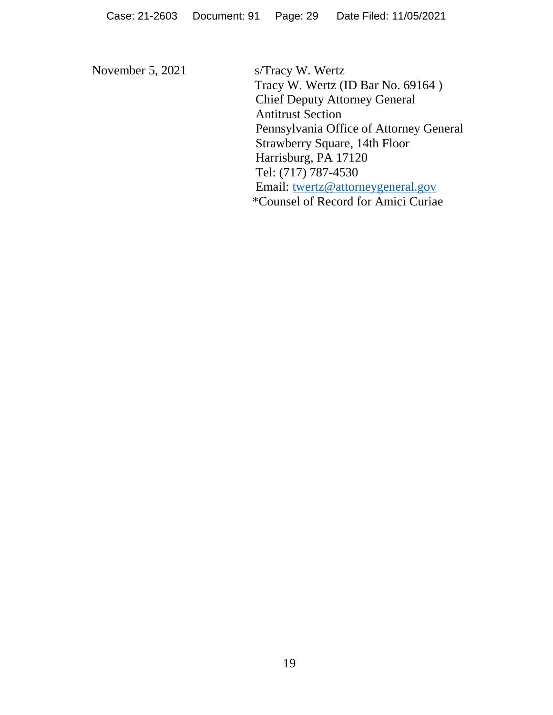November 5, 2021 s/Tracy W. Wertz Tracy W. Wertz (ID Bar No. 69164 ) Chief Deputy Attorney General Antitrust Section Pennsylvania Office of Attorney General Strawberry Square, 14th Floor Harrisburg, PA 17120 Tel: (717) 787-4530 Email: [twertz@attorneygeneral.gov](mailto:twertz@attorneygeneral.gov) \*Counsel of Record for Amici Curiae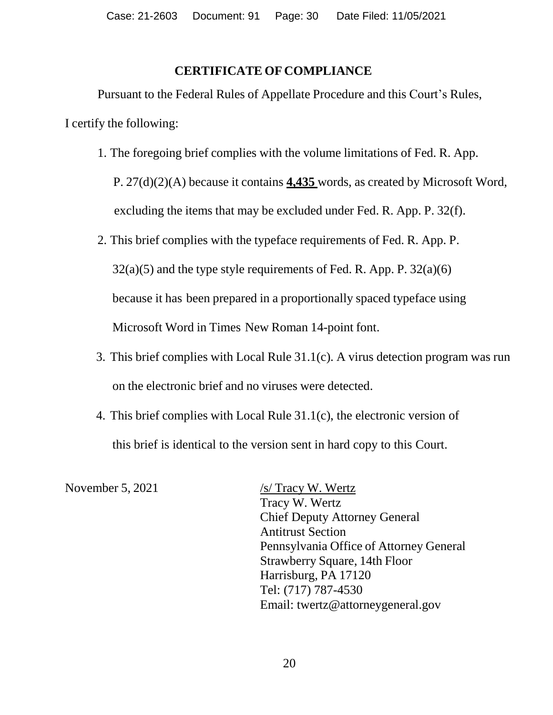### **CERTIFICATE OF COMPLIANCE**

Pursuant to the Federal Rules of Appellate Procedure and this Court's Rules, I certify the following:

1. The foregoing brief complies with the volume limitations of Fed. R. App.

 P. 27(d)(2)(A) because it contains **4,435** words, as created by Microsoft Word, excluding the items that may be excluded under Fed. R. App. P. 32(f).

2. This brief complies with the typeface requirements of Fed. R. App. P.

 $32(a)(5)$  and the type style requirements of Fed. R. App. P.  $32(a)(6)$ 

because it has been prepared in a proportionally spaced typeface using

Microsoft Word in Times New Roman 14-point font.

- 3. This brief complies with Local Rule 31.1(c). A virus detection program was run on the electronic brief and no viruses were detected.
- 4. This brief complies with Local Rule 31.1(c), the electronic version of this brief is identical to the version sent in hard copy to this Court.

November 5, 2021 /s/ Tracy W. Wertz Tracy W. Wertz Chief Deputy Attorney General Antitrust Section Pennsylvania Office of Attorney General Strawberry Square, 14th Floor Harrisburg, PA 17120 Tel: (717) 787-4530 Email: twertz@attorneygeneral.gov